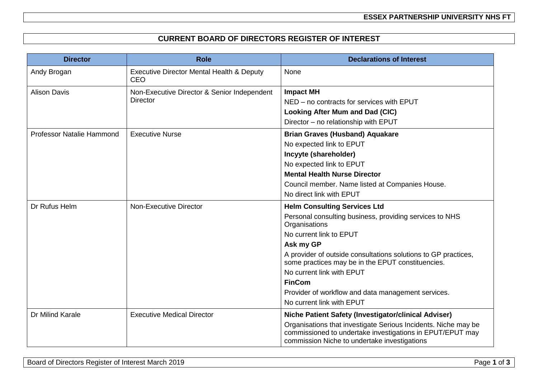**ESSEX PARTNERSHIP UNIVERSITY NHS FT**

## **CURRENT BOARD OF DIRECTORS REGISTER OF INTEREST**

| <b>Director</b>                  | <b>Role</b>                                                        | <b>Declarations of Interest</b>                                                                                                                                                                                                                                                                                                                                                                                 |
|----------------------------------|--------------------------------------------------------------------|-----------------------------------------------------------------------------------------------------------------------------------------------------------------------------------------------------------------------------------------------------------------------------------------------------------------------------------------------------------------------------------------------------------------|
| Andy Brogan                      | <b>Executive Director Mental Health &amp; Deputy</b><br><b>CEO</b> | None                                                                                                                                                                                                                                                                                                                                                                                                            |
| <b>Alison Davis</b>              | Non-Executive Director & Senior Independent<br><b>Director</b>     | <b>Impact MH</b><br>NED - no contracts for services with EPUT<br><b>Looking After Mum and Dad (CIC)</b><br>Director - no relationship with EPUT                                                                                                                                                                                                                                                                 |
| <b>Professor Natalie Hammond</b> | <b>Executive Nurse</b>                                             | <b>Brian Graves (Husband) Aquakare</b><br>No expected link to EPUT<br>Incyyte (shareholder)<br>No expected link to EPUT<br><b>Mental Health Nurse Director</b><br>Council member. Name listed at Companies House.<br>No direct link with EPUT                                                                                                                                                                   |
| Dr Rufus Helm                    | <b>Non-Executive Director</b>                                      | <b>Helm Consulting Services Ltd</b><br>Personal consulting business, providing services to NHS<br>Organisations<br>No current link to EPUT<br>Ask my GP<br>A provider of outside consultations solutions to GP practices,<br>some practices may be in the EPUT constituencies.<br>No current link with EPUT<br><b>FinCom</b><br>Provider of workflow and data management services.<br>No current link with EPUT |
| Dr Milind Karale                 | <b>Executive Medical Director</b>                                  | Niche Patient Safety (Investigator/clinical Adviser)<br>Organisations that investigate Serious Incidents. Niche may be<br>commissioned to undertake investigations in EPUT/EPUT may<br>commission Niche to undertake investigations                                                                                                                                                                             |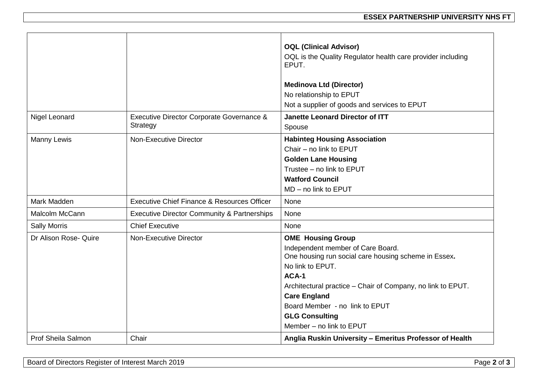|                           |                                                        | <b>OQL (Clinical Advisor)</b><br>OQL is the Quality Regulator health care provider including<br>EPUT.<br><b>Medinova Ltd (Director)</b><br>No relationship to EPUT<br>Not a supplier of goods and services to EPUT                                                                                                              |
|---------------------------|--------------------------------------------------------|---------------------------------------------------------------------------------------------------------------------------------------------------------------------------------------------------------------------------------------------------------------------------------------------------------------------------------|
| Nigel Leonard             | Executive Director Corporate Governance &<br>Strategy  | <b>Janette Leonard Director of ITT</b><br>Spouse                                                                                                                                                                                                                                                                                |
| <b>Manny Lewis</b>        | <b>Non-Executive Director</b>                          | <b>Habinteg Housing Association</b><br>Chair - no link to EPUT<br><b>Golden Lane Housing</b><br>Trustee - no link to EPUT<br><b>Watford Council</b><br>MD - no link to EPUT                                                                                                                                                     |
| Mark Madden               | Executive Chief Finance & Resources Officer            | None                                                                                                                                                                                                                                                                                                                            |
| Malcolm McCann            | <b>Executive Director Community &amp; Partnerships</b> | None                                                                                                                                                                                                                                                                                                                            |
| <b>Sally Morris</b>       | <b>Chief Executive</b>                                 | None                                                                                                                                                                                                                                                                                                                            |
| Dr Alison Rose- Quire     | <b>Non-Executive Director</b>                          | <b>OME</b> Housing Group<br>Independent member of Care Board.<br>One housing run social care housing scheme in Essex.<br>No link to EPUT.<br>ACA-1<br>Architectural practice - Chair of Company, no link to EPUT.<br><b>Care England</b><br>Board Member - no link to EPUT<br><b>GLG Consulting</b><br>Member - no link to EPUT |
| <b>Prof Sheila Salmon</b> | Chair                                                  | Anglia Ruskin University - Emeritus Professor of Health                                                                                                                                                                                                                                                                         |